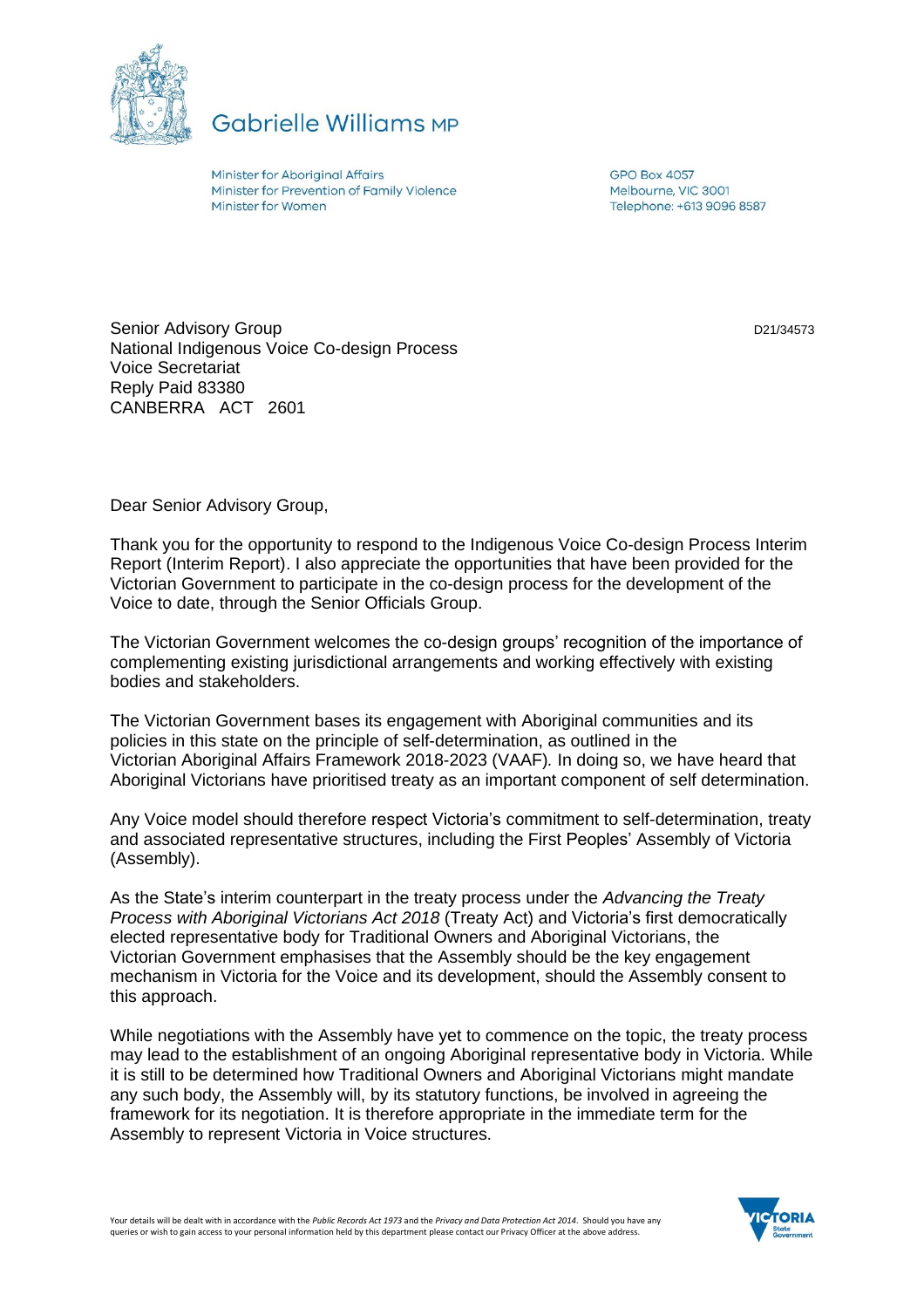

**Gabrielle Williams MP** 

Minister for Aboriginal Affairs Minister for Prevention of Family Violence Minister for Women

**GPO Box 4057** Melbourne, VIC 3001 Telephone: +613 9096 8587

D21/34573

Senior Advisory Group National Indigenous Voice Co-design Process Voice Secretariat Reply Paid 83380 CANBERRA ACT 2601

Dear Senior Advisory Group,

Thank you for the opportunity to respond to the Indigenous Voice Co-design Process Interim Report (Interim Report). I also appreciate the opportunities that have been provided for the Victorian Government to participate in the co-design process for the development of the Voice to date, through the Senior Officials Group.

The Victorian Government welcomes the co-design groups' recognition of the importance of complementing existing jurisdictional arrangements and working effectively with existing bodies and stakeholders.

The Victorian Government bases its engagement with Aboriginal communities and its policies in this state on the principle of self-determination, as outlined in the Victorian Aboriginal Affairs Framework 2018-2023 (VAAF)*.* In doing so, we have heard that Aboriginal Victorians have prioritised treaty as an important component of self determination.

Any Voice model should therefore respect Victoria's commitment to self-determination, treaty and associated representative structures, including the First Peoples' Assembly of Victoria (Assembly).

As the State's interim counterpart in the treaty process under the *Advancing the Treaty Process with Aboriginal Victorians Act 2018* (Treaty Act) and Victoria's first democratically elected representative body for Traditional Owners and Aboriginal Victorians, the Victorian Government emphasises that the Assembly should be the key engagement mechanism in Victoria for the Voice and its development, should the Assembly consent to this approach.

While negotiations with the Assembly have yet to commence on the topic, the treaty process may lead to the establishment of an ongoing Aboriginal representative body in Victoria. While it is still to be determined how Traditional Owners and Aboriginal Victorians might mandate any such body, the Assembly will, by its statutory functions, be involved in agreeing the framework for its negotiation. It is therefore appropriate in the immediate term for the Assembly to represent Victoria in Voice structures.

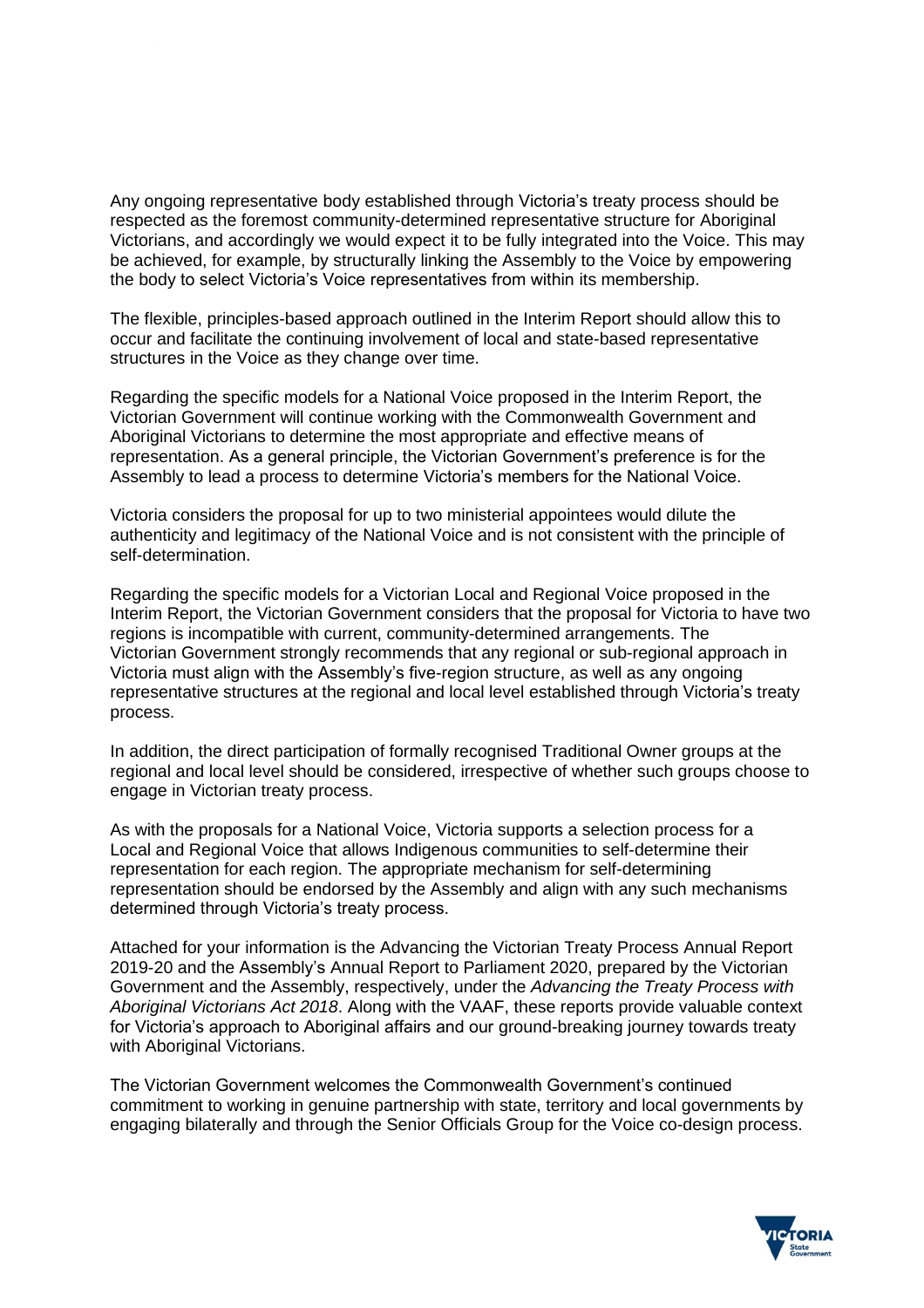Any ongoing representative body established through Victoria's treaty process should be respected as the foremost community-determined representative structure for Aboriginal Victorians, and accordingly we would expect it to be fully integrated into the Voice. This may be achieved, for example, by structurally linking the Assembly to the Voice by empowering the body to select Victoria's Voice representatives from within its membership.

The flexible, principles-based approach outlined in the Interim Report should allow this to occur and facilitate the continuing involvement of local and state-based representative structures in the Voice as they change over time.

Regarding the specific models for a National Voice proposed in the Interim Report, the Victorian Government will continue working with the Commonwealth Government and Aboriginal Victorians to determine the most appropriate and effective means of representation. As a general principle, the Victorian Government's preference is for the Assembly to lead a process to determine Victoria's members for the National Voice.

Victoria considers the proposal for up to two ministerial appointees would dilute the authenticity and legitimacy of the National Voice and is not consistent with the principle of self-determination.

Regarding the specific models for a Victorian Local and Regional Voice proposed in the Interim Report, the Victorian Government considers that the proposal for Victoria to have two regions is incompatible with current, community-determined arrangements. The Victorian Government strongly recommends that any regional or sub-regional approach in Victoria must align with the Assembly's five-region structure, as well as any ongoing representative structures at the regional and local level established through Victoria's treaty process.

In addition, the direct participation of formally recognised Traditional Owner groups at the regional and local level should be considered, irrespective of whether such groups choose to engage in Victorian treaty process.

As with the proposals for a National Voice, Victoria supports a selection process for a Local and Regional Voice that allows Indigenous communities to self-determine their representation for each region. The appropriate mechanism for self-determining representation should be endorsed by the Assembly and align with any such mechanisms determined through Victoria's treaty process.

Attached for your information is the Advancing the Victorian Treaty Process Annual Report 2019-20 and the Assembly's Annual Report to Parliament 2020, prepared by the Victorian Government and the Assembly, respectively, under the *Advancing the Treaty Process with Aboriginal Victorians Act 2018*. Along with the VAAF, these reports provide valuable context for Victoria's approach to Aboriginal affairs and our ground-breaking journey towards treaty with Aboriginal Victorians.

The Victorian Government welcomes the Commonwealth Government's continued commitment to working in genuine partnership with state, territory and local governments by engaging bilaterally and through the Senior Officials Group for the Voice co-design process.